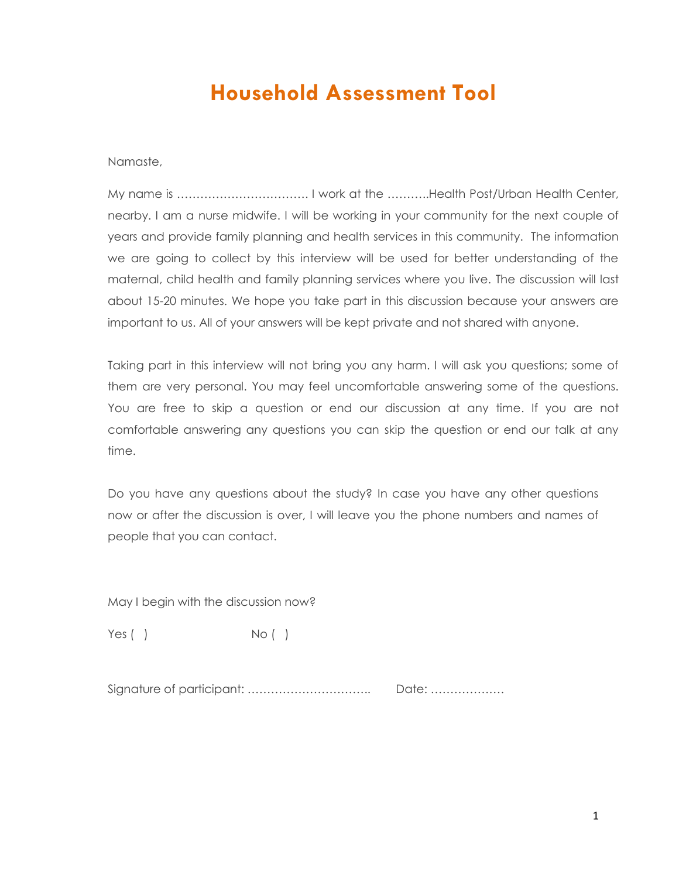## **Household Assessment Tool**

Namaste,

My name is ……………………………. I work at the ………..Health Post/Urban Health Center, nearby. I am a nurse midwife. I will be working in your community for the next couple of years and provide family planning and health services in this community. The information we are going to collect by this interview will be used for better understanding of the maternal, child health and family planning services where you live. The discussion will last about 15-20 minutes. We hope you take part in this discussion because your answers are important to us. All of your answers will be kept private and not shared with anyone.

Taking part in this interview will not bring you any harm. I will ask you questions; some of them are very personal. You may feel uncomfortable answering some of the questions. You are free to skip a question or end our discussion at any time. If you are not comfortable answering any questions you can skip the question or end our talk at any time.

Do you have any questions about the study? In case you have any other questions now or after the discussion is over, I will leave you the phone numbers and names of people that you can contact.

May I begin with the discussion now?

Yes ( ) No ( )

Signature of participant: ………………………….. Date: ……………….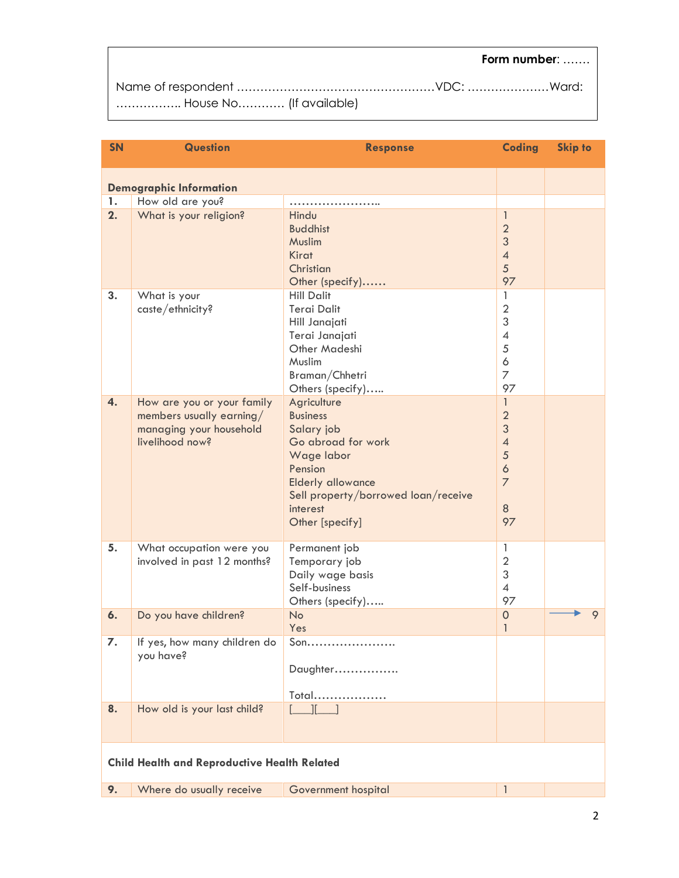## **Form number**: …….

| House No (If available) |  |
|-------------------------|--|

| <b>SN</b> | <b>Question</b>                                     | <b>Response</b>                     | <b>Coding</b>                  | <b>Skip to</b> |
|-----------|-----------------------------------------------------|-------------------------------------|--------------------------------|----------------|
|           | <b>Demographic Information</b>                      |                                     |                                |                |
| 1.        | How old are you?                                    |                                     |                                |                |
| 2.        | What is your religion?                              | Hindu                               | $\mathbf{1}$                   |                |
|           |                                                     | <b>Buddhist</b>                     | $\overline{2}$                 |                |
|           |                                                     | Muslim                              | $\mathfrak{S}$                 |                |
|           |                                                     | Kirat                               | $\overline{4}$                 |                |
|           |                                                     |                                     | 5                              |                |
|           |                                                     | Christian                           | 97                             |                |
|           |                                                     | Other (specify)                     |                                |                |
| 3.        | What is your                                        | <b>Hill Dalit</b>                   | $\mathbf{1}$<br>$\overline{2}$ |                |
|           | caste/ethnicity?                                    | <b>Terai Dalit</b>                  |                                |                |
|           |                                                     | Hill Janajati                       | 3                              |                |
|           |                                                     | Terai Janajati                      | $\overline{4}$                 |                |
|           |                                                     | Other Madeshi                       | 5                              |                |
|           |                                                     | Muslim                              | $\boldsymbol{6}$               |                |
|           |                                                     | Braman/Chhetri                      | $\overline{7}$                 |                |
|           |                                                     | Others (specify)                    | 97                             |                |
| 4.        | How are you or your family                          | Agriculture                         | $\mathbf{1}$                   |                |
|           | members usually earning/                            | <b>Business</b>                     | $\overline{2}$                 |                |
|           | managing your household                             | Salary job                          | $\mathfrak{S}$                 |                |
|           | livelihood now?                                     | Go abroad for work                  | $\overline{\mathcal{A}}$       |                |
|           |                                                     | Wage labor                          | 5                              |                |
|           |                                                     | Pension                             | $\ddot{\circ}$                 |                |
|           |                                                     | <b>Elderly allowance</b>            | $\overline{7}$                 |                |
|           |                                                     | Sell property/borrowed loan/receive |                                |                |
|           |                                                     | interest                            | $\,8\,$                        |                |
|           |                                                     | Other [specify]                     | 97                             |                |
| 5.        | What occupation were you                            | Permanent job                       | $\mathbf{1}$                   |                |
|           | involved in past 12 months?                         | Temporary job                       | $\overline{2}$                 |                |
|           |                                                     | Daily wage basis                    | 3                              |                |
|           |                                                     | Self-business                       | $\overline{4}$                 |                |
|           |                                                     | Others (specify)                    | 97                             |                |
| 6.        | Do you have children?                               | <b>No</b>                           | $\mathsf{O}\xspace$            | 9              |
|           |                                                     | Yes                                 | $\mathbf{1}$                   |                |
| 7.        | If yes, how many children do                        | Son                                 |                                |                |
|           | you have?                                           |                                     |                                |                |
|           |                                                     | Daughter                            |                                |                |
|           |                                                     |                                     |                                |                |
|           |                                                     | Total                               |                                |                |
| 8.        | How old is your last child?                         | $\Box$ If $\Box$ 1                  |                                |                |
|           |                                                     |                                     |                                |                |
|           |                                                     |                                     |                                |                |
|           | <b>Child Health and Reproductive Health Related</b> |                                     |                                |                |
|           |                                                     |                                     |                                |                |
| 9.        | Where do usually receive                            | Government hospital                 | 1                              |                |

2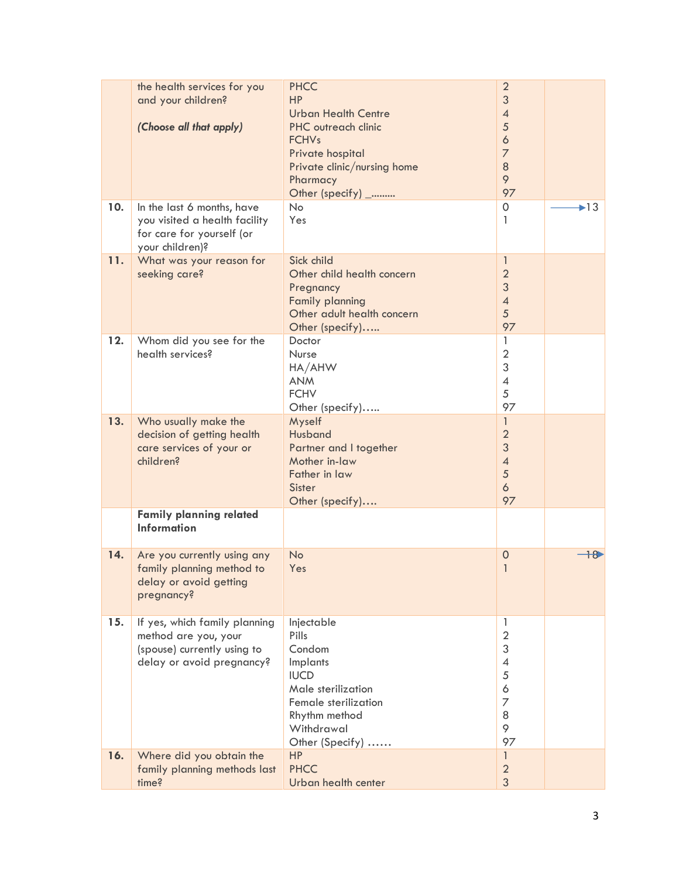|     | the health services for you<br>and your children?<br>(Choose all that apply)                                      | <b>PHCC</b><br><b>HP</b><br><b>Urban Health Centre</b><br><b>PHC</b> outreach clinic<br><b>FCHVs</b><br>Private hospital<br>Private clinic/nursing home<br>Pharmacy<br>Other (specify) _ | $\overline{2}$<br>3<br>$\overline{4}$<br>5<br>$\ddot{\circ}$<br>$\overline{7}$<br>8<br>9<br>97   |                          |
|-----|-------------------------------------------------------------------------------------------------------------------|------------------------------------------------------------------------------------------------------------------------------------------------------------------------------------------|--------------------------------------------------------------------------------------------------|--------------------------|
| 10. | In the last 6 months, have<br>you visited a health facility<br>for care for yourself (or<br>your children)?       | <b>No</b><br>Yes                                                                                                                                                                         | 0<br>1                                                                                           | $\blacktriangleright$ 13 |
| 11. | What was your reason for<br>seeking care?                                                                         | Sick child<br>Other child health concern<br>Pregnancy<br><b>Family planning</b><br>Other adult health concern<br>Other (specify)                                                         | $\mathbf{1}$<br>$\overline{2}$<br>$\mathfrak{S}$<br>$\overline{4}$<br>5<br>97                    |                          |
| 12. | Whom did you see for the<br>health services?                                                                      | Doctor<br>Nurse<br>HA/AHW<br><b>ANM</b><br><b>FCHV</b><br>Other (specify)                                                                                                                | 1<br>$\overline{2}$<br>3<br>$\overline{4}$<br>5<br>97                                            |                          |
| 13. | Who usually make the<br>decision of getting health<br>care services of your or<br>children?                       | Myself<br>Husband<br>Partner and I together<br>Mother in-law<br>Father in law<br><b>Sister</b><br>Other (specify)                                                                        | $\mathbf{1}$<br>$\overline{2}$<br>3<br>$\overline{4}$<br>5<br>6<br>97                            |                          |
|     | <b>Family planning related</b><br><b>Information</b>                                                              |                                                                                                                                                                                          |                                                                                                  |                          |
| 14. | Are you currently using any<br>family planning method to<br>delay or avoid getting<br>pregnancy?                  | <b>No</b><br>Yes                                                                                                                                                                         | $\mathbf 0$<br>1                                                                                 | $+8$                     |
| 15. | If yes, which family planning<br>method are you, your<br>(spouse) currently using to<br>delay or avoid pregnancy? | Injectable<br>Pills<br>Condom<br>Implants<br><b>IUCD</b><br>Male sterilization<br>Female sterilization<br>Rhythm method<br>Withdrawal<br>Other (Specify)                                 | 1<br>$\overline{2}$<br>3<br>$\overline{\mathcal{A}}$<br>5<br>6<br>$\overline{z}$<br>8<br>9<br>97 |                          |
| 16. | Where did you obtain the<br>family planning methods last<br>time?                                                 | <b>HP</b><br><b>PHCC</b><br>Urban health center                                                                                                                                          | $\mathbf{1}$<br>$\overline{2}$<br>3                                                              |                          |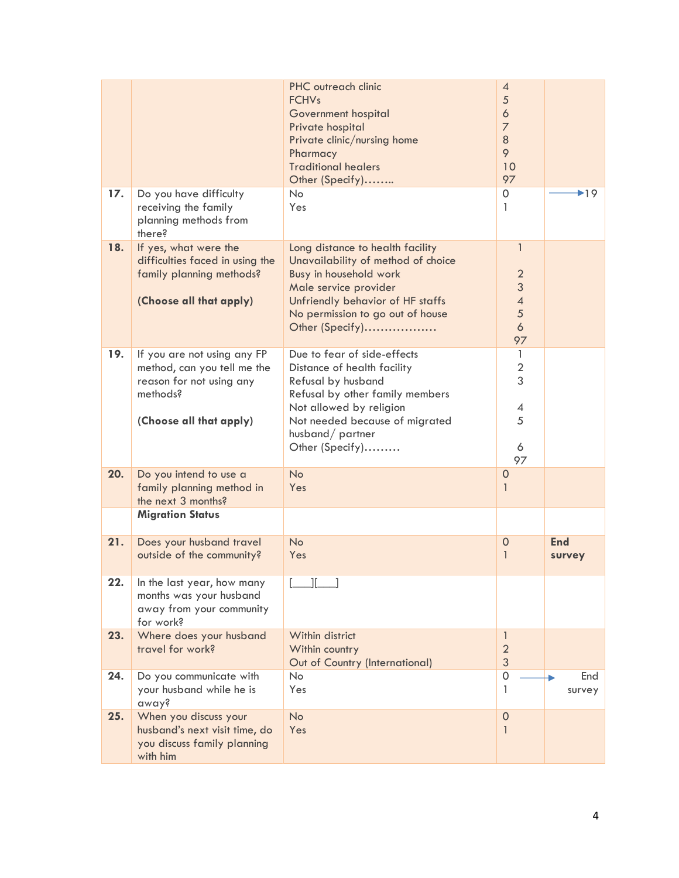| 17. | Do you have difficulty                                                                                                        | PHC outreach clinic<br><b>FCHVs</b><br>Government hospital<br>Private hospital<br>Private clinic/nursing home<br>Pharmacy<br><b>Traditional healers</b><br>Other (Specify)<br><b>No</b>                                | $\overline{A}$<br>5<br>$\ddot{\circ}$<br>$\overline{7}$<br>$\,8\,$<br>9<br>10<br>97<br>$\mathbf 0$ | $\blacktriangleright$ 19 |
|-----|-------------------------------------------------------------------------------------------------------------------------------|------------------------------------------------------------------------------------------------------------------------------------------------------------------------------------------------------------------------|----------------------------------------------------------------------------------------------------|--------------------------|
|     | receiving the family<br>planning methods from<br>there?                                                                       | Yes                                                                                                                                                                                                                    | 1                                                                                                  |                          |
| 18. | If yes, what were the<br>difficulties faced in using the<br>family planning methods?<br>(Choose all that apply)               | Long distance to health facility<br>Unavailability of method of choice<br>Busy in household work<br>Male service provider<br>Unfriendly behavior of HF staffs<br>No permission to go out of house<br>Other (Specify)   | $\mathbf{1}$<br>$\overline{2}$<br>3<br>$\overline{\mathcal{A}}$<br>5<br>$\ddot{\circ}$<br>97       |                          |
| 19. | If you are not using any FP<br>method, can you tell me the<br>reason for not using any<br>methods?<br>(Choose all that apply) | Due to fear of side-effects<br>Distance of health facility<br>Refusal by husband<br>Refusal by other family members<br>Not allowed by religion<br>Not needed because of migrated<br>husband/partner<br>Other (Specify) | 1<br>$\mathbf 2$<br>3<br>4<br>5<br>6<br>97                                                         |                          |
| 20. | Do you intend to use a<br>family planning method in<br>the next 3 months?                                                     | <b>No</b><br>Yes                                                                                                                                                                                                       | $\mathbf 0$<br>1                                                                                   |                          |
|     | <b>Migration Status</b>                                                                                                       |                                                                                                                                                                                                                        |                                                                                                    |                          |
| 21. | Does your husband travel<br>outside of the community?                                                                         | <b>No</b><br>Yes                                                                                                                                                                                                       | $\overline{0}$<br>1                                                                                | <b>End</b><br>survey     |
| 22. | In the last year, how many<br>months was your husband<br>away from your community<br>for work?                                |                                                                                                                                                                                                                        |                                                                                                    |                          |
| 23. | Where does your husband<br>travel for work?                                                                                   | Within district<br>Within country<br>Out of Country (International)                                                                                                                                                    | $\mathbf{1}$<br>$\overline{2}$<br>3                                                                |                          |
| 24. | Do you communicate with<br>your husband while he is<br>away?                                                                  | No<br>Yes                                                                                                                                                                                                              | $\mathbf 0$<br>1                                                                                   | End<br>survey            |
| 25. | When you discuss your<br>husband's next visit time, do<br>you discuss family planning<br>with him                             | <b>No</b><br>Yes                                                                                                                                                                                                       | $\mathbf 0$<br>1                                                                                   |                          |